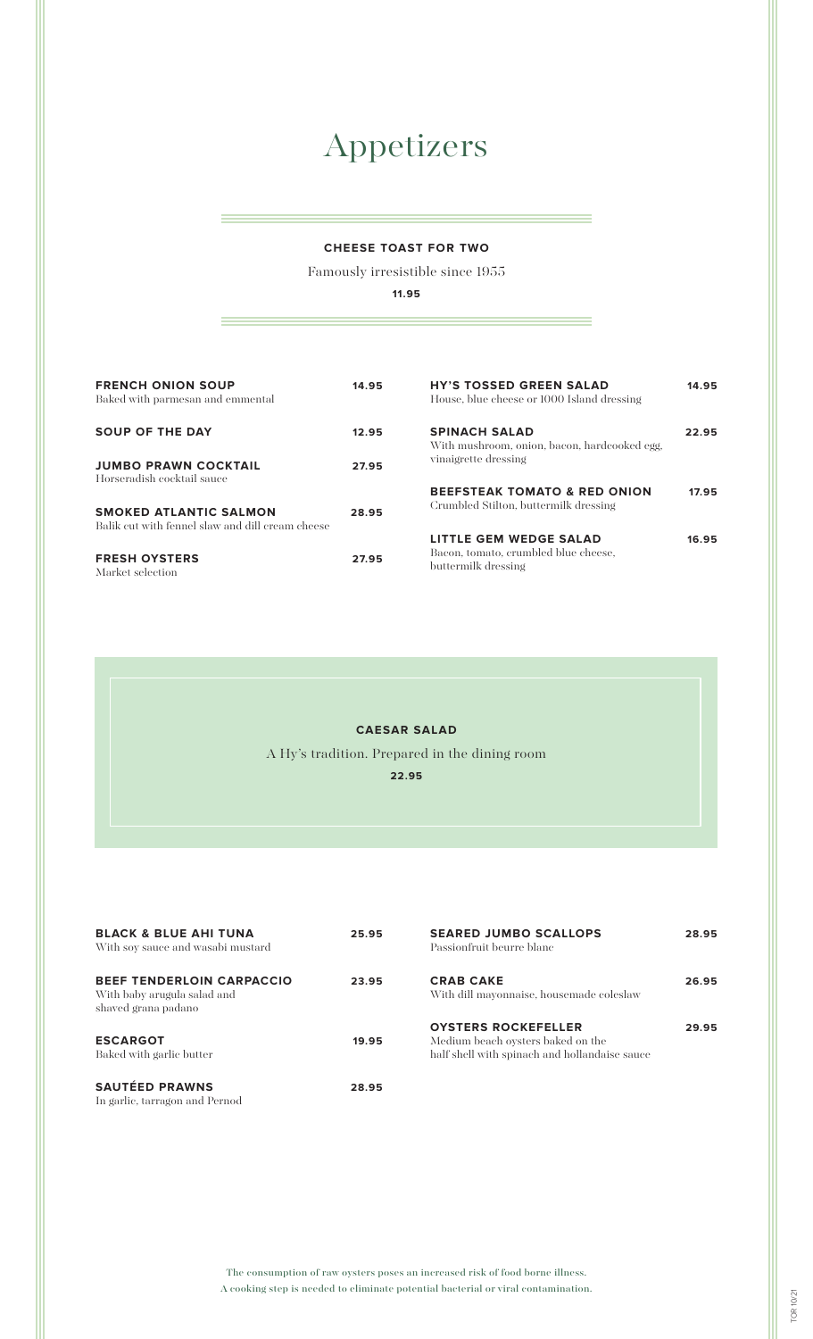# Appetizers

#### **CHEESE TOAST FOR TWO**

Famously irresistible since 1955

**11.95**

| <b>FRENCH ONION SOUP</b><br>Baked with parmesan and emmental                      | 14.95 | <b>HY'S TOSSED GREEN SALAD</b><br>House, blue cheese or 1000 Island dressing          | 14.95 |
|-----------------------------------------------------------------------------------|-------|---------------------------------------------------------------------------------------|-------|
| <b>SOUP OF THE DAY</b>                                                            | 12.95 | <b>SPINACH SALAD</b><br>With mushroom, onion, bacon, hardcooked egg,                  | 22.95 |
| <b>JUMBO PRAWN COCKTAIL</b><br>Horseradish cocktail sauce                         | 27.95 | vinaigrette dressing                                                                  |       |
| <b>SMOKED ATLANTIC SALMON</b><br>Balik cut with fennel slaw and dill cream cheese | 28.95 | <b>BEEFSTEAK TOMATO &amp; RED ONION</b><br>Crumbled Stilton, buttermilk dressing      | 17.95 |
| <b>FRESH OYSTERS</b><br>Market selection                                          | 27.95 | LITTLE GEM WEDGE SALAD<br>Bacon, tomato, erumbled blue cheese,<br>buttermilk dressing | 16.95 |

#### **CAESAR SALAD**

A Hy's tradition. Prepared in the dining room

**22.95**

| <b>BLACK &amp; BLUE AHI TUNA</b><br>With soy sauce and wasabi mustard                  | 25.95 | <b>SEARED JUMBO SCALLOPS</b><br>Passionfruit beurre blanc                                                        | 28.95 |
|----------------------------------------------------------------------------------------|-------|------------------------------------------------------------------------------------------------------------------|-------|
| <b>BEEF TENDERLOIN CARPACCIO</b><br>With baby arugula salad and<br>shaved grana padano | 23.95 | <b>CRAB CAKE</b><br>With dill mayonnaise, housemade coleslaw                                                     | 26.95 |
| <b>ESCARGOT</b><br>Baked with garlic butter                                            | 19.95 | <b>OYSTERS ROCKEFELLER</b><br>Medium beach oysters baked on the<br>half shell with spinach and hollandaise sauce | 29.95 |
| <b>SAUTÉED PRAWNS</b><br>In garlic, tarragon and Pernod                                | 28.95 |                                                                                                                  |       |

The consumption of raw oysters poses an increased risk of food borne illness. A cooking step is needed to eliminate potential bacterial or viral contamination.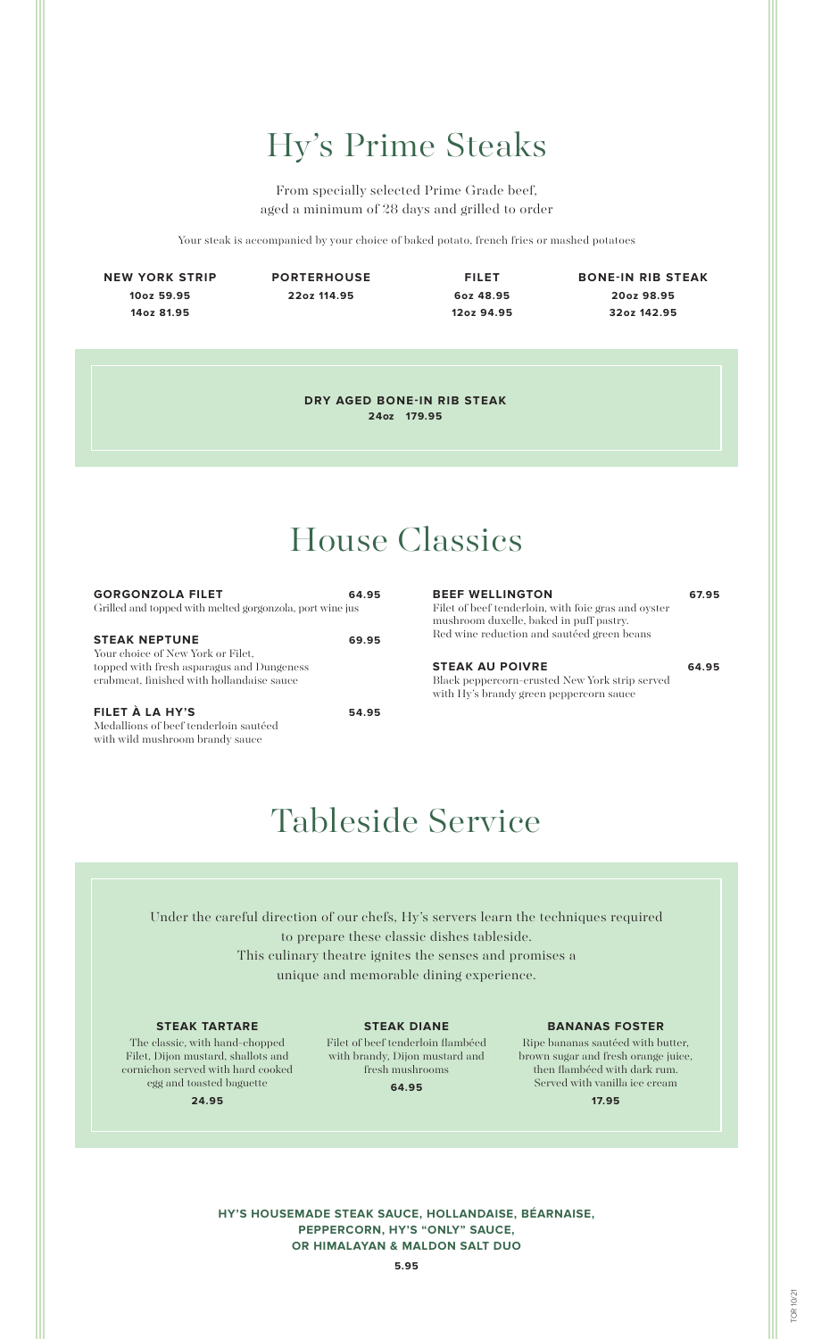# Hy's Prime Steaks

From specially selected Prime Grade beef, aged a minimum of 28 days and grilled to order

Your steak is accompanied by your choice of baked potato, french fries or mashed potatoes

**NEW YORK STRIP 10oz 59.95 14oz 81.95**

**PORTERHOUSE 22oz 114.95**

**FILET 6oz 48.95 12oz 94.95**

**BONE-IN RIB STEAK 20oz 98.95 32oz 142.95**

**DRY AGED BONE-IN RIB STEAK 24oz 179.95**

# House Classics

| <b>GORGONZOLA FILET</b><br>Grilled and topped with melted gorgonzola, port wine jus                                                                 | 64.95 |
|-----------------------------------------------------------------------------------------------------------------------------------------------------|-------|
| <b>STEAK NEPTUNE</b><br>Your choice of New York or Filet.<br>topped with fresh asparagus and Dungeness<br>crabmeat, finished with hollandaise sauce | 69.95 |

**FILET À LA HY'S 54.95** Medallions of beef tenderloin sautéed with wild mushroom brandy sauce

#### **BEEF WELLINGTON 67.95**

Filet of beef tenderloin, with foie gras and oyster mushroom duxelle, baked in puff pastry. Red wine reduction and sautéed green beans

#### **STEAK AU POIVRE 64.95**

Black peppercorn-crusted New York strip served with Hy's brandy green peppercorn sauce

## Tableside Service

Under the careful direction of our chefs, Hy's servers learn the techniques required to prepare these classic dishes tableside. This culinary theatre ignites the senses and promises a unique and memorable dining experience.

#### **STEAK TARTARE**

The classic, with hand-chopped Filet, Dijon mustard, shallots and cornichon served with hard cooked egg and toasted baguette

**STEAK DIANE**

Filet of beef tenderloin flambéed with brandy, Dijon mustard and fresh mushrooms

**64.95**

#### **BANANAS FOSTER**

Ripe bananas sautéed with butter, brown sugar and fresh orange juice, then flambéed with dark rum. Served with vanilla ice cream **17.95**

**24.95**

**HY'S HOUSEMADE STEAK SAUCE, HOLLANDAISE, BÉARNAISE, PEPPERCORN, HY'S "ONLY" SAUCE, OR HIMALAYAN & MALDON SALT DUO**